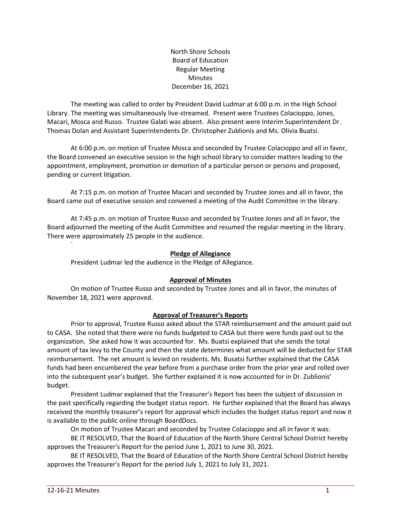North Shore Schools Board of Education Regular Meeting Minutes December 16, 2021

The meeting was called to order by President David Ludmar at 6:00 p.m. in the High School Library. The meeting was simultaneously live-streamed. Present were Trustees Colacioppo, Jones, Macari, Mosca and Russo. Trustee Galati was absent. Also present were Interim Superintendent Dr. Thomas Dolan and Assistant Superintendents Dr. Christopher Zublionis and Ms. Olivia Buatsi.

At 6:00 p.m. on motion of Trustee Mosca and seconded by Trustee Colacioppo and all in favor, the Board convened an executive session in the high school library to consider matters leading to the appointment, employment, promotion or demotion of a particular person or persons and proposed, pending or current litigation.

At 7:15 p.m. on motion of Trustee Macari and seconded by Trustee Jones and all in favor, the Board came out of executive session and convened a meeting of the Audit Committee in the library.

At 7:45 p.m. on motion of Trustee Russo and seconded by Trustee Jones and all in favor, the Board adjourned the meeting of the Audit Committee and resumed the regular meeting in the library. There were approximately 25 people in the audience.

# **Pledge of Allegiance**

President Ludmar led the audience in the Pledge of Allegiance.

#### **Approval of Minutes**

On motion of Trustee Russo and seconded by Trustee Jones and all in favor, the minutes of November 18, 2021 were approved.

# **Approval of Treasurer's Reports**

Prior to approval, Trustee Russo asked about the STAR reimbursement and the amount paid out to CASA. She noted that there were no funds budgeted to CASA but there were funds paid out to the organization. She asked how it was accounted for. Ms. Buatsi explained that she sends the total amount of tax levy to the County and then the state determines what amount will be deducted for STAR reimbursement. The net amount is levied on residents. Ms. Busatsi further explained that the CASA funds had been encumbered the year before from a purchase order from the prior year and rolled over into the subsequent year's budget. She further explained it is now accounted for in Dr. Zublionis' budget.

President Ludmar explained that the Treasurer's Report has been the subject of discussion in the past specifically regarding the budget status report. He further explained that the Board has always received the monthly treasurer's report for approval which includes the budget status report and now it is available to the public online through BoardDocs.

On motion of Trustee Macari and seconded by Trustee Colacioppo and all in favor it was:

BE IT RESOLVED, That the Board of Education of the North Shore Central School District hereby approves the Treasurer's Report for the period June 1, 2021 to June 30, 2021.

BE IT RESOLVED, That the Board of Education of the North Shore Central School District hereby approves the Treasurer's Report for the period July 1, 2021 to July 31, 2021.

`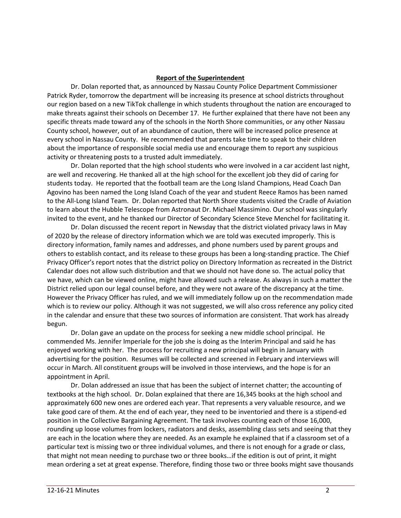#### **Report of the Superintendent**

Dr. Dolan reported that, as announced by Nassau County Police Department Commissioner Patrick Ryder, tomorrow the department will be increasing its presence at school districts throughout our region based on a new TikTok challenge in which students throughout the nation are encouraged to make threats against their schools on December 17. He further explained that there have not been any specific threats made toward any of the schools in the North Shore communities, or any other Nassau County school, however, out of an abundance of caution, there will be increased police presence at every school in Nassau County. He recommended that parents take time to speak to their children about the importance of responsible social media use and encourage them to report any suspicious activity or threatening posts to a trusted adult immediately.

Dr. Dolan reported that the high school students who were involved in a car accident last night, are well and recovering. He thanked all at the high school for the excellent job they did of caring for students today. He reported that the football team are the Long Island Champions, Head Coach Dan Agovino has been named the Long Island Coach of the year and student Reece Ramos has been named to the All-Long Island Team. Dr. Dolan reported that North Shore students visited the Cradle of Aviation to learn about the Hubble Telescope from Astronaut Dr. Michael Massimino. Our school was singularly invited to the event, and he thanked our Director of Secondary Science Steve Menchel for facilitating it.

Dr. Dolan discussed the recent report in Newsday that the district violated privacy laws in May of 2020 by the release of directory information which we are told was executed improperly. This is directory information, family names and addresses, and phone numbers used by parent groups and others to establish contact, and its release to these groups has been a long-standing practice. The Chief Privacy Officer's report notes that the district policy on Directory Information as recreated in the District Calendar does not allow such distribution and that we should not have done so. The actual policy that we have, which can be viewed online, might have allowed such a release. As always in such a matter the District relied upon our legal counsel before, and they were not aware of the discrepancy at the time. However the Privacy Officer has ruled, and we will immediately follow up on the recommendation made which is to review our policy. Although it was not suggested, we will also cross reference any policy cited in the calendar and ensure that these two sources of information are consistent. That work has already begun.

Dr. Dolan gave an update on the process for seeking a new middle school principal. He commended Ms. Jennifer Imperiale for the job she is doing as the Interim Principal and said he has enjoyed working with her. The process for recruiting a new principal will begin in January with advertising for the position. Resumes will be collected and screened in February and interviews will occur in March. All constituent groups will be involved in those interviews, and the hope is for an appointment in April.

Dr. Dolan addressed an issue that has been the subject of internet chatter; the accounting of textbooks at the high school. Dr. Dolan explained that there are 16,345 books at the high school and approximately 600 new ones are ordered each year. That represents a very valuable resource, and we take good care of them. At the end of each year, they need to be inventoried and there is a stipend-ed position in the Collective Bargaining Agreement. The task involves counting each of those 16,000, rounding up loose volumes from lockers, radiators and desks, assembling class sets and seeing that they are each in the location where they are needed. As an example he explained that if a classroom set of a particular text is missing two or three individual volumes, and there is not enough for a grade or class, that might not mean needing to purchase two or three books…if the edition is out of print, it might mean ordering a set at great expense. Therefore, finding those two or three books might save thousands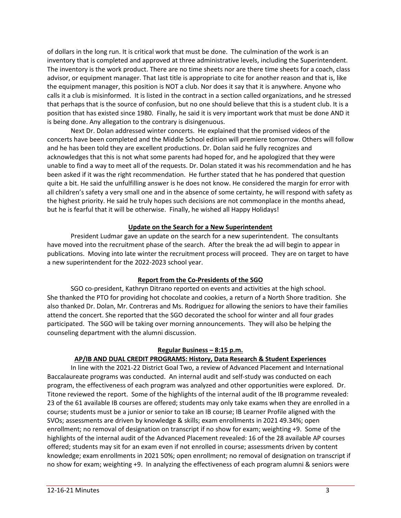of dollars in the long run. It is critical work that must be done. The culmination of the work is an inventory that is completed and approved at three administrative levels, including the Superintendent. The inventory is the work product. There are no time sheets nor are there time sheets for a coach, class advisor, or equipment manager. That last title is appropriate to cite for another reason and that is, like the equipment manager, this position is NOT a club. Nor does it say that it is anywhere. Anyone who calls it a club is misinformed. It is listed in the contract in a section called organizations, and he stressed that perhaps that is the source of confusion, but no one should believe that this is a student club. It is a position that has existed since 1980. Finally, he said it is very important work that must be done AND it is being done. Any allegation to the contrary is disingenuous.

Next Dr. Dolan addressed winter concerts. He explained that the promised videos of the concerts have been completed and the Middle School edition will premiere tomorrow. Others will follow and he has been told they are excellent productions. Dr. Dolan said he fully recognizes and acknowledges that this is not what some parents had hoped for, and he apologized that they were unable to find a way to meet all of the requests. Dr. Dolan stated it was his recommendation and he has been asked if it was the right recommendation. He further stated that he has pondered that question quite a bit. He said the unfulfilling answer is he does not know. He considered the margin for error with all children's safety a very small one and in the absence of some certainty, he will respond with safety as the highest priority. He said he truly hopes such decisions are not commonplace in the months ahead, but he is fearful that it will be otherwise. Finally, he wished all Happy Holidays!

# **Update on the Search for a New Superintendent**

President Ludmar gave an update on the search for a new superintendent. The consultants have moved into the recruitment phase of the search. After the break the ad will begin to appear in publications. Moving into late winter the recruitment process will proceed. They are on target to have a new superintendent for the 2022-2023 school year.

# **Report from the Co-Presidents of the SGO**

SGO co-president, Kathryn Ditrano reported on events and activities at the high school. She thanked the PTO for providing hot chocolate and cookies, a return of a North Shore tradition. She also thanked Dr. Dolan, Mr. Contreras and Ms. Rodriguez for allowing the seniors to have their families attend the concert. She reported that the SGO decorated the school for winter and all four grades participated. The SGO will be taking over morning announcements. They will also be helping the counseling department with the alumni discussion.

#### **Regular Business – 8:15 p.m.**

# **AP/IB AND DUAL CREDIT PROGRAMS: History, Data Research & Student Experiences**

In line with the 2021-22 District Goal Two, a review of Advanced Placement and International Baccalaureate programs was conducted. An internal audit and self-study was conducted on each program, the effectiveness of each program was analyzed and other opportunities were explored. Dr. Titone reviewed the report. Some of the highlights of the internal audit of the IB programme revealed: 23 of the 61 available IB courses are offered; students may only take exams when they are enrolled in a course; students must be a junior or senior to take an IB course; IB Learner Profile aligned with the SVOs; assessments are driven by knowledge & skills; exam enrollments in 2021 49.34%; open enrollment; no removal of designation on transcript if no show for exam; weighting +9. Some of the highlights of the internal audit of the Advanced Placement revealed: 16 of the 28 available AP courses offered; students may sit for an exam even if not enrolled in course; assessments driven by content knowledge; exam enrollments in 2021 50%; open enrollment; no removal of designation on transcript if no show for exam; weighting +9. In analyzing the effectiveness of each program alumni & seniors were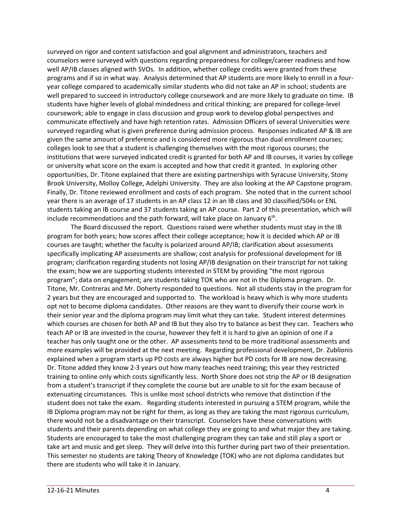surveyed on rigor and content satisfaction and goal alignment and administrators, teachers and counselors were surveyed with questions regarding preparedness for college/career readiness and how well AP/IB classes aligned with SVOs. In addition, whether college credits were granted from these programs and if so in what way. Analysis determined that AP students are more likely to enroll in a fouryear college compared to academically similar students who did not take an AP in school; students are well prepared to succeed in introductory college coursework and are more likely to graduate on time. IB students have higher levels of global mindedness and critical thinking; are prepared for college-level coursework; able to engage in class discussion and group work to develop global perspectives and communicate effectively and have high retention rates. Admission Officers of several Universities were surveyed regarding what is given preference during admission process. Responses indicated AP & IB are given the same amount of preference and is considered more rigorous than dual enrollment courses; colleges look to see that a student is challenging themselves with the most rigorous courses; the institutions that were surveyed indicated credit is granted for both AP and IB courses, it varies by college or university what score on the exam is accepted and how that credit it granted. In exploring other opportunities, Dr. Titone explained that there are existing partnerships with Syracuse University, Stony Brook University, Molloy College, Adelphi University. They are also looking at the AP Capstone program. Finally, Dr. Titone reviewed enrollment and costs of each program. She noted that in the current school year there is an average of 17 students in an AP class 12 in an IB class and 30 classified/504s or ENL students taking an IB course and 37 students taking an AP course. Part 2 of this presentation, which will include recommendations and the path forward, will take place on January  $6<sup>th</sup>$ .

The Board discussed the report. Questions raised were whether students must stay in the IB program for both years; how scores affect their college acceptance; how it is decided which AP or IB courses are taught; whether the faculty is polarized around AP/IB; clarification about assessments specifically implicating AP assessments are shallow; cost analysis for professional development for IB program; clarification regarding students not losing AP/IB designation on their transcript for not taking the exam; how we are supporting students interested in STEM by providing "the most rigorous program"; data on engagement; are students taking TOK who are not in the Diploma program. Dr. Titone, Mr. Contreras and Mr. Doherty responded to questions. Not all students stay in the program for 2 years but they are encouraged and supported to. The workload is heavy which is why more students opt not to become diploma candidates. Other reasons are they want to diversify their course work in their senior year and the diploma program may limit what they can take. Student interest determines which courses are chosen for both AP and IB but they also try to balance as best they can. Teachers who teach AP or IB are invested in the course, however they felt it is hard to give an opinion of one if a teacher has only taught one or the other. AP assessments tend to be more traditional assessments and more examples will be provided at the next meeting. Regarding professional development, Dr. Zublionis explained when a program starts up PD costs are always higher but PD costs for IB are now decreasing. Dr. Titone added they know 2-3 years out how many teaches need training; this year they restricted training to online only which costs significantly less. North Shore does not strip the AP or IB designation from a student's transcript if they complete the course but are unable to sit for the exam because of extenuating circumstances. This is unlike most school districts who remove that distinction if the student does not take the exam. Regarding students interested in pursuing a STEM program, while the IB Diploma program may not be right for them, as long as they are taking the most rigorous curriculum, there would not be a disadvantage on their transcript. Counselors have these conversations with students and their parents depending on what college they are going to and what major they are taking. Students are encouraged to take the most challenging program they can take and still play a sport or take art and music and get sleep. They will delve into this further during part two of their presentation. This semester no students are taking Theory of Knowledge (TOK) who are not diploma candidates but there are students who will take it in January.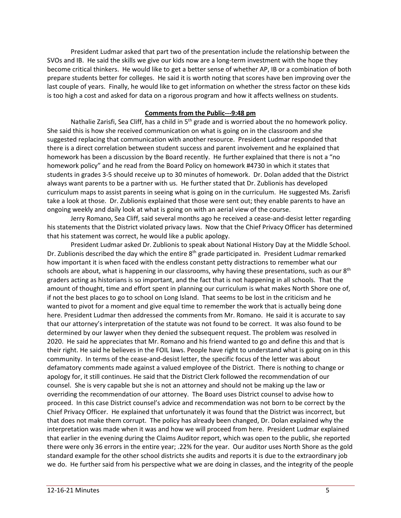President Ludmar asked that part two of the presentation include the relationship between the SVOs and IB. He said the skills we give our kids now are a long-term investment with the hope they become critical thinkers. He would like to get a better sense of whether AP, IB or a combination of both prepare students better for colleges. He said it is worth noting that scores have ben improving over the last couple of years. Finally, he would like to get information on whether the stress factor on these kids is too high a cost and asked for data on a rigorous program and how it affects wellness on students.

### **Comments from the Public---9:48 pm**

Nathalie Zarisfi, Sea Cliff, has a child in  $5<sup>th</sup>$  grade and is worried about the no homework policy. She said this is how she received communication on what is going on in the classroom and she suggested replacing that communication with another resource. President Ludmar responded that there is a direct correlation between student success and parent involvement and he explained that homework has been a discussion by the Board recently. He further explained that there is not a "no homework policy" and he read from the Board Policy on homework #4730 in which it states that students in grades 3-5 should receive up to 30 minutes of homework. Dr. Dolan added that the District always want parents to be a partner with us. He further stated that Dr. Zublionis has developed curriculum maps to assist parents in seeing what is going on in the curriculum. He suggested Ms. Zarisfi take a look at those. Dr. Zublionis explained that those were sent out; they enable parents to have an ongoing weekly and daily look at what is going on with an aerial view of the course.

Jerry Romano, Sea Cliff, said several months ago he received a cease-and-desist letter regarding his statements that the District violated privacy laws. Now that the Chief Privacy Officer has determined that his statement was correct, he would like a public apology.

President Ludmar asked Dr. Zublionis to speak about National History Day at the Middle School. Dr. Zublionis described the day which the entire 8<sup>th</sup> grade participated in. President Ludmar remarked how important it is when faced with the endless constant petty distractions to remember what our schools are about, what is happening in our classrooms, why having these presentations, such as our  $8<sup>th</sup>$ graders acting as historians is so important, and the fact that is not happening in all schools. That the amount of thought, time and effort spent in planning our curriculum is what makes North Shore one of, if not the best places to go to school on Long Island. That seems to be lost in the criticism and he wanted to pivot for a moment and give equal time to remember the work that is actually being done here. President Ludmar then addressed the comments from Mr. Romano. He said it is accurate to say that our attorney's interpretation of the statute was not found to be correct. It was also found to be determined by our lawyer when they denied the subsequent request. The problem was resolved in 2020. He said he appreciates that Mr. Romano and his friend wanted to go and define this and that is their right. He said he believes in the FOIL laws. People have right to understand what is going on in this community. In terms of the cease-and-desist letter, the specific focus of the letter was about defamatory comments made against a valued employee of the District. There is nothing to change or apology for, it still continues. He said that the District Clerk followed the recommendation of our counsel. She is very capable but she is not an attorney and should not be making up the law or overriding the recommendation of our attorney. The Board uses District counsel to advise how to proceed. In this case District counsel's advice and recommendation was not born to be correct by the Chief Privacy Officer. He explained that unfortunately it was found that the District was incorrect, but that does not make them corrupt. The policy has already been changed, Dr. Dolan explained why the interpretation was made when it was and how we will proceed from here. President Ludmar explained that earlier in the evening during the Claims Auditor report, which was open to the public, she reported there were only 36 errors in the entire year; .22% for the year. Our auditor uses North Shore as the gold standard example for the other school districts she audits and reports it is due to the extraordinary job we do. He further said from his perspective what we are doing in classes, and the integrity of the people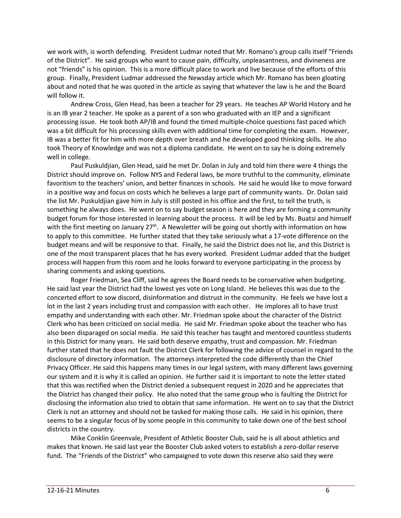we work with, is worth defending. President Ludmar noted that Mr. Romano's group calls itself "Friends of the District". He said groups who want to cause pain, difficulty, unpleasantness, and divineness are not "friends" is his opinion. This is a more difficult place to work and live because of the efforts of this group. Finally, President Ludmar addressed the Newsday article which Mr. Romano has been gloating about and noted that he was quoted in the article as saying that whatever the law is he and the Board will follow it.

Andrew Cross, Glen Head, has been a teacher for 29 years. He teaches AP World History and he is an IB year 2 teacher. He spoke as a parent of a son who graduated with an IEP and a significant processing issue. He took both AP/IB and found the timed multiple-choice questions fast paced which was a bit difficult for his processing skills even with additional time for completing the exam. However, IB was a better fit for him with more depth over breath and he developed good thinking skills. He also took Theory of Knowledge and was not a diploma candidate. He went on to say he is doing extremely well in college.

Paul Puskuldjian, Glen Head, said he met Dr. Dolan in July and told him there were 4 things the District should improve on. Follow NYS and Federal laws, be more truthful to the community, eliminate favoritism to the teachers' union, and better finances in schools. He said he would like to move forward in a positive way and focus on costs which he believes a large part of community wants. Dr. Dolan said the list Mr. Puskuldjian gave him in July is still posted in his office and the first, to tell the truth, is something he always does. He went on to say budget season is here and they are forming a community budget forum for those interested in learning about the process. It will be led by Ms. Buatsi and himself with the first meeting on January 27<sup>th</sup>. A Newsletter will be going out shortly with information on how to apply to this committee. He further stated that they take seriously what a 17-vote difference on the budget means and will be responsive to that. Finally, he said the District does not lie, and this District is one of the most transparent places that he has every worked. President Ludmar added that the budget process will happen from this room and he looks forward to everyone participating in the process by sharing comments and asking questions.

Roger Friedman, Sea Cliff, said he agrees the Board needs to be conservative when budgeting. He said last year the District had the lowest yes vote on Long Island. He believes this was due to the concerted effort to sow discord, disinformation and distrust in the community. He feels we have lost a lot in the last 2 years including trust and compassion with each other. He implores all to have trust empathy and understanding with each other. Mr. Friedman spoke about the character of the District Clerk who has been criticized on social media. He said Mr. Friedman spoke about the teacher who has also been disparaged on social media. He said this teacher has taught and mentored countless students in this District for many years. He said both deserve empathy, trust and compassion. Mr. Friedman further stated that he does not fault the District Clerk for following the advice of counsel in regard to the disclosure of directory information. The attorneys interpreted the code differently than the Chief Privacy Officer. He said this happens many times in our legal system, with many different laws governing our system and it is why it is called an opinion. He further said it is important to note the letter stated that this was rectified when the District denied a subsequent request in 2020 and he appreciates that the District has changed their policy. He also noted that the same group who is faulting the District for disclosing the information also tried to obtain that same information. He went on to say that the District Clerk is not an attorney and should not be tasked for making those calls. He said in his opinion, there seems to be a singular focus of by some people in this community to take down one of the best school districts in the country.

Mike Conklin Greenvale, President of Athletic Booster Club, said he is all about athletics and makes that known. He said last year the Booster Club asked voters to establish a zero-dollar reserve fund. The "Friends of the District" who campaigned to vote down this reserve also said they were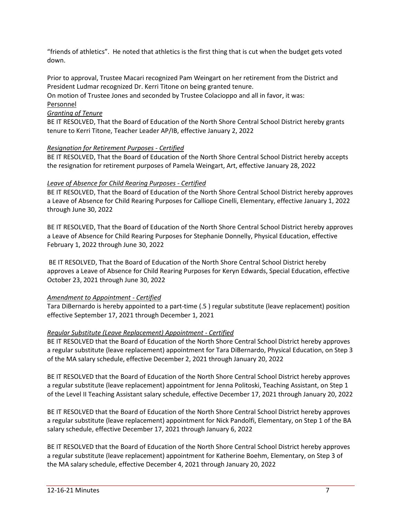"friends of athletics". He noted that athletics is the first thing that is cut when the budget gets voted down.

Prior to approval, Trustee Macari recognized Pam Weingart on her retirement from the District and President Ludmar recognized Dr. Kerri Titone on being granted tenure.

On motion of Trustee Jones and seconded by Trustee Colacioppo and all in favor, it was: Personnel

# *Granting of Tenure*

BE IT RESOLVED, That the Board of Education of the North Shore Central School District hereby grants tenure to Kerri Titone, Teacher Leader AP/IB, effective January 2, 2022

# *Resignation for Retirement Purposes - Certified*

BE IT RESOLVED, That the Board of Education of the North Shore Central School District hereby accepts the resignation for retirement purposes of Pamela Weingart, Art, effective January 28, 2022

# *Leave of Absence for Child Rearing Purposes - Certified*

BE IT RESOLVED, That the Board of Education of the North Shore Central School District hereby approves a Leave of Absence for Child Rearing Purposes for Calliope Cinelli, Elementary, effective January 1, 2022 through June 30, 2022

BE IT RESOLVED, That the Board of Education of the North Shore Central School District hereby approves a Leave of Absence for Child Rearing Purposes for Stephanie Donnelly, Physical Education, effective February 1, 2022 through June 30, 2022

BE IT RESOLVED, That the Board of Education of the North Shore Central School District hereby approves a Leave of Absence for Child Rearing Purposes for Keryn Edwards, Special Education, effective October 23, 2021 through June 30, 2022

# *Amendment to Appointment - Certified*

Tara DiBernardo is hereby appointed to a part-time (.5 ) regular substitute (leave replacement) position effective September 17, 2021 through December 1, 2021

# *Regular Substitute (Leave Replacement) Appointment - Certified*

BE IT RESOLVED that the Board of Education of the North Shore Central School District hereby approves a regular substitute (leave replacement) appointment for Tara DiBernardo, Physical Education, on Step 3 of the MA salary schedule, effective December 2, 2021 through January 20, 2022

BE IT RESOLVED that the Board of Education of the North Shore Central School District hereby approves a regular substitute (leave replacement) appointment for Jenna Politoski, Teaching Assistant, on Step 1 of the Level II Teaching Assistant salary schedule, effective December 17, 2021 through January 20, 2022

BE IT RESOLVED that the Board of Education of the North Shore Central School District hereby approves a regular substitute (leave replacement) appointment for Nick Pandolfi, Elementary, on Step 1 of the BA salary schedule, effective December 17, 2021 through January 6, 2022

BE IT RESOLVED that the Board of Education of the North Shore Central School District hereby approves a regular substitute (leave replacement) appointment for Katherine Boehm, Elementary, on Step 3 of the MA salary schedule, effective December 4, 2021 through January 20, 2022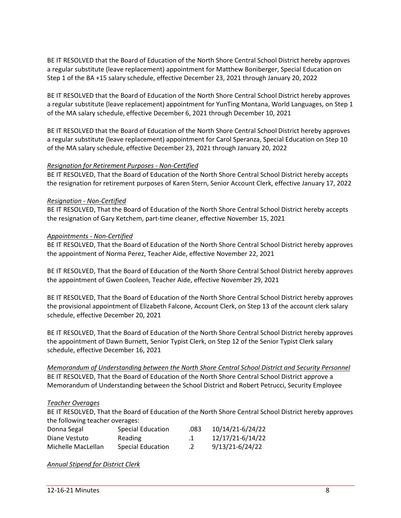BE IT RESOLVED that the Board of Education of the North Shore Central School District hereby approves a regular substitute (leave replacement) appointment for Matthew Boniberger, Special Education on Step 1 of the BA +15 salary schedule, effective December 23, 2021 through January 20, 2022

BE IT RESOLVED that the Board of Education of the North Shore Central School District hereby approves a regular substitute (leave replacement) appointment for YunTing Montana, World Languages, on Step 1 of the MA salary schedule, effective December 6, 2021 through December 10, 2021

BE IT RESOLVED that the Board of Education of the North Shore Central School District hereby approves a regular substitute (leave replacement) appointment for Carol Speranza, Special Education on Step 10 of the MA salary schedule, effective December 23, 2021 through January 20, 2022

# *Resignation for Retirement Purposes - Non-Certified*

BE IT RESOLVED, That the Board of Education of the North Shore Central School District hereby accepts the resignation for retirement purposes of Karen Stern, Senior Account Clerk, effective January 17, 2022

### *Resignation - Non-Certified*

BE IT RESOLVED, That the Board of Education of the North Shore Central School District hereby accepts the resignation of Gary Ketchem, part-time cleaner, effective November 15, 2021

# *Appointments - Non-Certified*

BE IT RESOLVED, That the Board of Education of the North Shore Central School District hereby approves the appointment of Norma Perez, Teacher Aide, effective November 22, 2021

BE IT RESOLVED, That the Board of Education of the North Shore Central School District hereby approves the appointment of Gwen Cooleen, Teacher Aide, effective November 29, 2021

BE IT RESOLVED, That the Board of Education of the North Shore Central School District hereby approves the provisional appointment of Elizabeth Falcone, Account Clerk, on Step 13 of the account clerk salary schedule, effective December 20, 2021

BE IT RESOLVED, That the Board of Education of the North Shore Central School District hereby approves the appointment of Dawn Burnett, Senior Typist Clerk, on Step 12 of the Senior Typist Clerk salary schedule, effective December 16, 2021

*Memorandum of Understanding between the North Shore Central School District and Security Personnel* BE IT RESOLVED, That the Board of Education of the North Shore Central School District approve a Memorandum of Understanding between the School District and Robert Petrucci, Security Employee

# *Teacher Overages*

BE IT RESOLVED, That the Board of Education of the North Shore Central School District hereby approves the following teacher overages:

| Donna Segal        | Special Education | .083         | 10/14/21-6/24/22 |
|--------------------|-------------------|--------------|------------------|
| Diane Vestuto      | Reading           | $\mathbf{1}$ | 12/17/21-6/14/22 |
| Michelle MacLellan | Special Education | $\cdot$ .2   | 9/13/21-6/24/22  |

*Annual Stipend for District Clerk*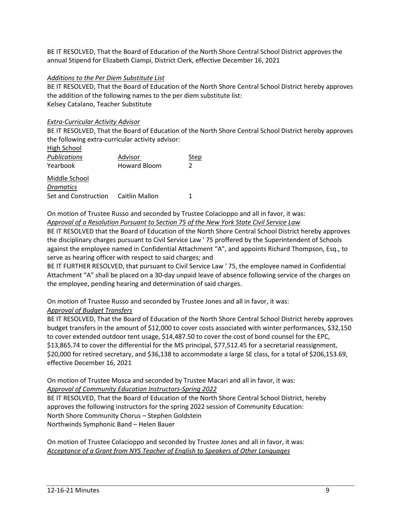BE IT RESOLVED, That the Board of Education of the North Shore Central School District approves the annual Stipend for Elizabeth Ciampi, District Clerk, effective December 16, 2021

# *Additions to the Per Diem Substitute List*

BE IT RESOLVED, That the Board of Education of the North Shore Central School District hereby approves the addition of the following names to the per diem substitute list: Kelsey Catalano, Teacher Substitute

# *Extra-Curricular Activity Advisor*

BE IT RESOLVED, That the Board of Education of the North Shore Central School District hereby approves the following extra-curricular activity advisor: High School

| High School          |                     |      |
|----------------------|---------------------|------|
| <b>Publications</b>  | Advisor             | Step |
| Yearbook             | <b>Howard Bloom</b> | 2    |
| Middle School        |                     |      |
| <b>Dramatics</b>     |                     |      |
| Set and Construction | Caitlin Mallon      |      |

On motion of Trustee Russo and seconded by Trustee Colacioppo and all in favor, it was: *Approval of a Resolution Pursuant to Section 75 of the New York State Civil Service Law*

BE IT RESOLVED that the Board of Education of the North Shore Central School District hereby approves the disciplinary charges pursuant to Civil Service Law ' 75 proffered by the Superintendent of Schools against the employee named in Confidential Attachment "A", and appoints Richard Thompson, Esq., to serve as hearing officer with respect to said charges; and

BE IT FURTHER RESOLVED, that pursuant to Civil Service Law ' 75, the employee named in Confidential Attachment "A" shall be placed on a 30-day unpaid leave of absence following service of the charges on the employee, pending hearing and determination of said charges.

On motion of Trustee Russo and seconded by Trustee Jones and all in favor, it was: *Approval of Budget Transfers*

BE IT RESOLVED, That the Board of Education of the North Shore Central School District hereby approves budget transfers in the amount of \$12,000 to cover costs associated with winter performances, \$32,150 to cover extended outdoor tent usage, \$14,487.50 to cover the cost of bond counsel for the EPC, \$13,865.74 to cover the differential for the MS principal, \$77,512.45 for a secretarial reassignment, \$20,000 for retired secretary, and \$36,138 to accommodate a large SE class, for a total of \$206,153.69, effective December 16, 2021

On motion of Trustee Mosca and seconded by Trustee Macari and all in favor, it was: *Approval of Community Education Instructors-Spring 2022* BE IT RESOLVED, That the Board of Education of the North Shore Central School District, hereby approves the following instructors for the spring 2022 session of Community Education: North Shore Community Chorus – Stephen Goldstein

Northwinds Symphonic Band – Helen Bauer

On motion of Trustee Colacioppo and seconded by Trustee Jones and all in favor, it was: *Acceptance of a Grant from NYS Teacher of English to Speakers of Other Languages*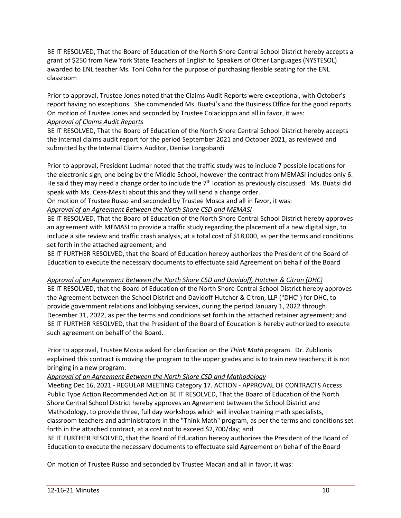BE IT RESOLVED, That the Board of Education of the North Shore Central School District hereby accepts a grant of \$250 from New York State Teachers of English to Speakers of Other Languages (NYSTESOL) awarded to ENL teacher Ms. Toni Cohn for the purpose of purchasing flexible seating for the ENL classroom

Prior to approval, Trustee Jones noted that the Claims Audit Reports were exceptional, with October's report having no exceptions. She commended Ms. Buatsi's and the Business Office for the good reports. On motion of Trustee Jones and seconded by Trustee Colacioppo and all in favor, it was: *Approval of Claims Audit Reports*

BE IT RESOLVED, That the Board of Education of the North Shore Central School District hereby accepts the internal claims audit report for the period September 2021 and October 2021, as reviewed and submitted by the Internal Claims Auditor, Denise Longobardi

Prior to approval, President Ludmar noted that the traffic study was to include 7 possible locations for the electronic sign, one being by the Middle School, however the contract from MEMASI includes only 6. He said they may need a change order to include the 7<sup>th</sup> location as previously discussed. Ms. Buatsi did speak with Ms. Ceas-Mesiti about this and they will send a change order.

On motion of Trustee Russo and seconded by Trustee Mosca and all in favor, it was:

# *Approval of an Agreement Between the North Shore CSD and MEMASI*

BE IT RESOLVED, That the Board of Education of the North Shore Central School District hereby approves an agreement with MEMASI to provide a traffic study regarding the placement of a new digital sign, to include a site review and traffic crash analysis, at a total cost of \$18,000, as per the terms and conditions set forth in the attached agreement; and

BE IT FURTHER RESOLVED, that the Board of Education hereby authorizes the President of the Board of Education to execute the necessary documents to effectuate said Agreement on behalf of the Board

# *Approval of an Agreement Between the North Shore CSD and Davidoff, Hutcher & Citron (DHC)*

BE IT RESOLVED, that the Board of Education of the North Shore Central School District hereby approves the Agreement between the School District and Davidoff Hutcher & Citron, LLP ("DHC") for DHC, to provide government relations and lobbying services, during the period January 1, 2022 through December 31, 2022, as per the terms and conditions set forth in the attached retainer agreement; and BE IT FURTHER RESOLVED, that the President of the Board of Education is hereby authorized to execute such agreement on behalf of the Board.

Prior to approval, Trustee Mosca asked for clarification on the *Think Math* program. Dr. Zublionis explained this contract is moving the program to the upper grades and is to train new teachers; it is not bringing in a new program.

# *Approval of an Agreement Between the North Shore CSD and Mathodology*

Meeting Dec 16, 2021 - REGULAR MEETING Category 17. ACTION - APPROVAL OF CONTRACTS Access Public Type Action Recommended Action BE IT RESOLVED, That the Board of Education of the North Shore Central School District hereby approves an Agreement between the School District and Mathodology, to provide three, full day workshops which will involve training math specialists, classroom teachers and administrators in the "Think Math" program, as per the terms and conditions set forth in the attached contract, at a cost not to exceed \$2,700/day; and

BE IT FURTHER RESOLVED, that the Board of Education hereby authorizes the President of the Board of Education to execute the necessary documents to effectuate said Agreement on behalf of the Board

On motion of Trustee Russo and seconded by Trustee Macari and all in favor, it was: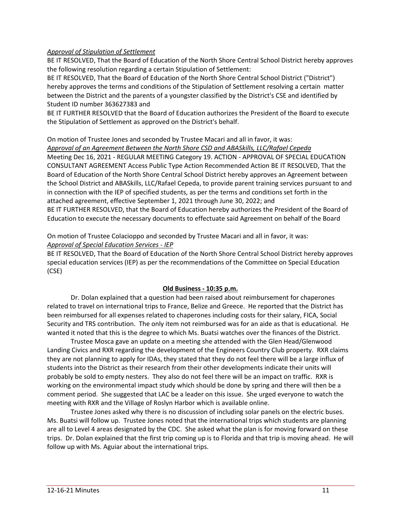# *Approval of Stipulation of Settlement*

BE IT RESOLVED, That the Board of Education of the North Shore Central School District hereby approves the following resolution regarding a certain Stipulation of Settlement:

BE IT RESOLVED, That the Board of Education of the North Shore Central School District ("District") hereby approves the terms and conditions of the Stipulation of Settlement resolving a certain matter between the District and the parents of a youngster classified by the District's CSE and identified by Student ID number 363627383 and

BE IT FURTHER RESOLVED that the Board of Education authorizes the President of the Board to execute the Stipulation of Settlement as approved on the District's behalf.

# On motion of Trustee Jones and seconded by Trustee Macari and all in favor, it was: *Approval of an Agreement Between the North Shore CSD and ABASkills, LLC/Rafael Cepeda* Meeting Dec 16, 2021 - REGULAR MEETING Category 19. ACTION - APPROVAL OF SPECIAL EDUCATION CONSULTANT AGREEMENT Access Public Type Action Recommended Action BE IT RESOLVED, That the Board of Education of the North Shore Central School District hereby approves an Agreement between the School District and ABASkills, LLC/Rafael Cepeda, to provide parent training services pursuant to and in connection with the IEP of specified students, as per the terms and conditions set forth in the attached agreement, effective September 1, 2021 through June 30, 2022; and BE IT FURTHER RESOLVED, that the Board of Education hereby authorizes the President of the Board of Education to execute the necessary documents to effectuate said Agreement on behalf of the Board

# On motion of Trustee Colacioppo and seconded by Trustee Macari and all in favor, it was: *Approval of Special Education Services - IEP*

BE IT RESOLVED, That the Board of Education of the North Shore Central School District hereby approves special education services (IEP) as per the recommendations of the Committee on Special Education (CSE)

# **Old Business - 10:35 p.m.**

Dr. Dolan explained that a question had been raised about reimbursement for chaperones related to travel on international trips to France, Belize and Greece. He reported that the District has been reimbursed for all expenses related to chaperones including costs for their salary, FICA, Social Security and TRS contribution. The only item not reimbursed was for an aide as that is educational. He wanted it noted that this is the degree to which Ms. Buatsi watches over the finances of the District.

Trustee Mosca gave an update on a meeting she attended with the Glen Head/Glenwood Landing Civics and RXR regarding the development of the Engineers Country Club property. RXR claims they are not planning to apply for IDAs, they stated that they do not feel there will be a large influx of students into the District as their research from their other developments indicate their units will probably be sold to empty nesters. They also do not feel there will be an impact on traffic. RXR is working on the environmental impact study which should be done by spring and there will then be a comment period. She suggested that LAC be a leader on this issue. She urged everyone to watch the meeting with RXR and the Village of Roslyn Harbor which is available online.

Trustee Jones asked why there is no discussion of including solar panels on the electric buses. Ms. Buatsi will follow up. Trustee Jones noted that the international trips which students are planning are all to Level 4 areas designated by the CDC. She asked what the plan is for moving forward on these trips. Dr. Dolan explained that the first trip coming up is to Florida and that trip is moving ahead. He will follow up with Ms. Aguiar about the international trips.